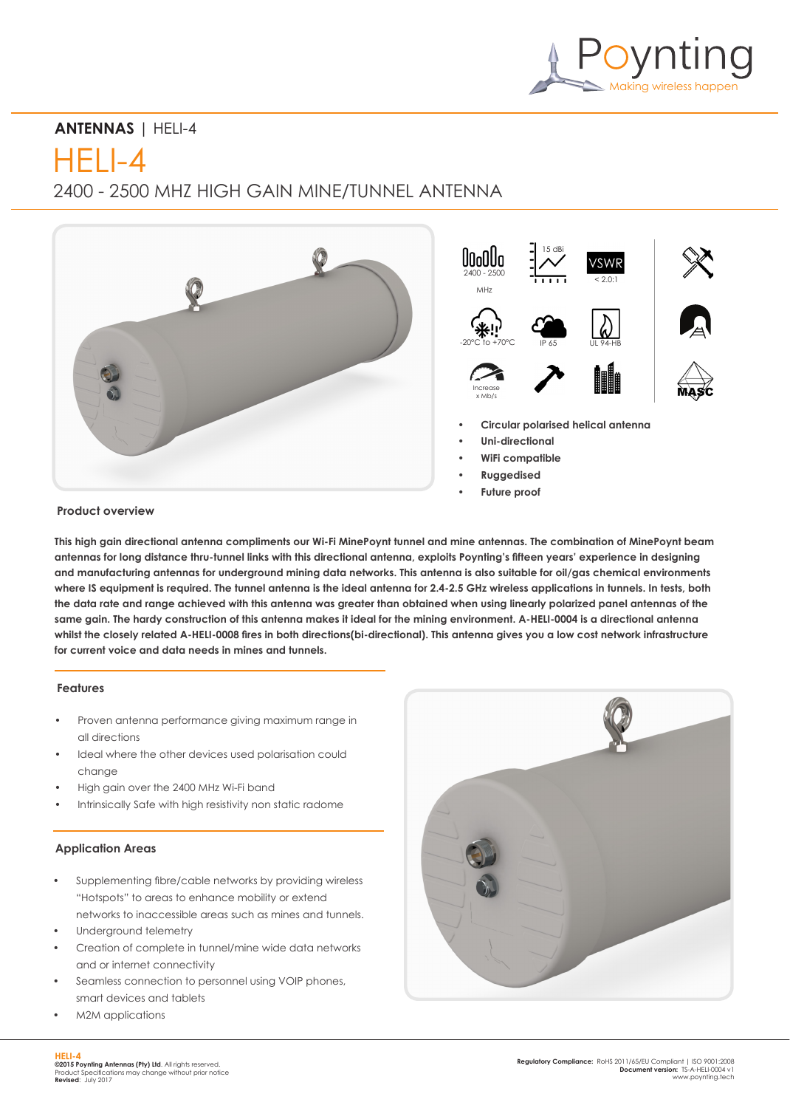

# **ANTENNAS** | HELI-4

HELI-4

2400 - 2500 MHZ HIGH GAIN MINE/TUNNEL ANTENNA



# **Product overview**

**This high gain directional antenna compliments our Wi-Fi MinePoynt tunnel and mine antennas. The combination of MinePoynt beam antennas for long distance thru-tunnel links with this directional antenna, exploits Poynting's fifteen years' experience in designing and manufacturing antennas for underground mining data networks. This antenna is also suitable for oil/gas chemical environments where IS equipment is required. The tunnel antenna is the ideal antenna for 2.4-2.5 GHz wireless applications in tunnels. In tests, both the data rate and range achieved with this antenna was greater than obtained when using linearly polarized panel antennas of the same gain. The hardy construction of this antenna makes it ideal for the mining environment. A-HELI-0004 is a directional antenna whilst the closely related A-HELI-0008 fires in both directions(bi-directional). This antenna gives you a low cost network infrastructure for current voice and data needs in mines and tunnels.**

# **Features**

- Proven antenna performance giving maximum range in all directions
- Ideal where the other devices used polarisation could change
- High gain over the 2400 MHz Wi-Fi band
- Intrinsically Safe with high resistivity non static radome

#### **Application Areas**

- Supplementing fibre/cable networks by providing wireless "Hotspots" to areas to enhance mobility or extend networks to inaccessible areas such as mines and tunnels.
- Underground telemetry
- Creation of complete in tunnel/mine wide data networks and or internet connectivity
- Seamless connection to personnel using VOIP phones, smart devices and tablets
- M2M applications

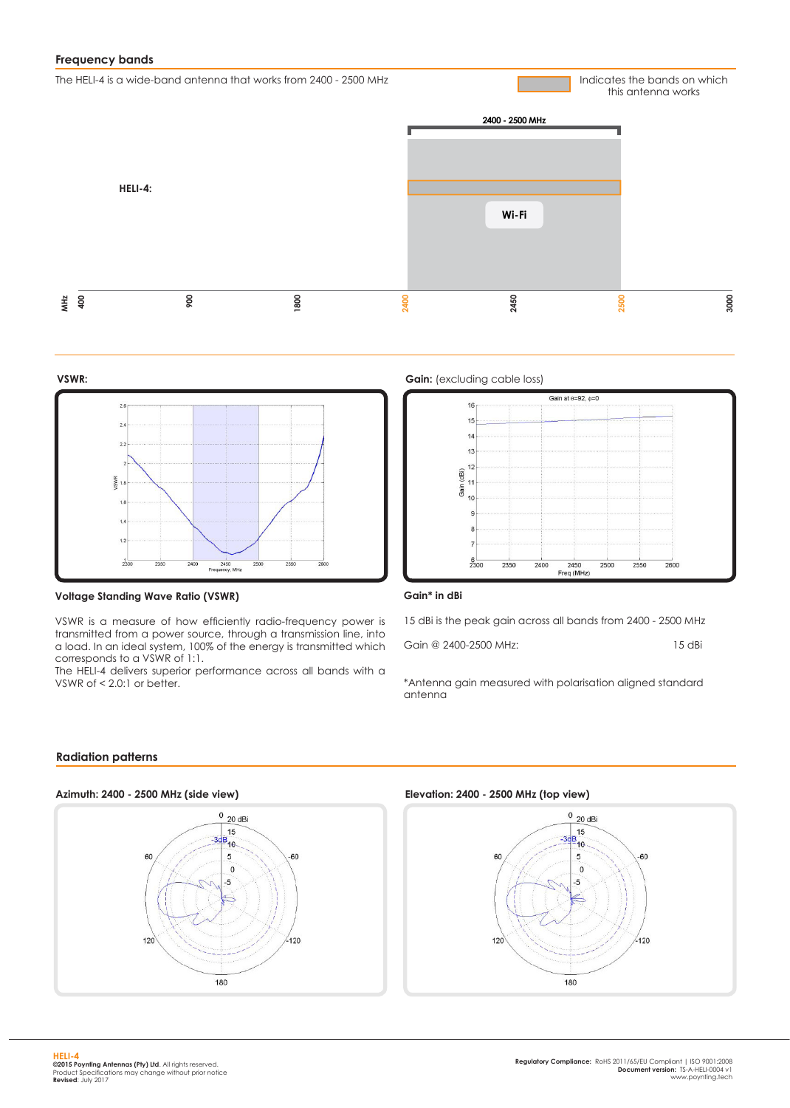# **Frequency bands**

The HELI-4 is a wide-band antenna that works from 2400 - 2500 MHz

Indicates the bands on which this antenna works





#### **Voltage Standing Wave Ratio (VSWR)**

VSWR is a measure of how efficiently radio-frequency power is transmitted from a power source, through a transmission line, into a load. In an ideal system, 100% of the energy is transmitted which corresponds to a VSWR of 1:1.

The HELI-4 delivers superior performance across all bands with a VSWR of  $< 2.0$ :1 or better.





#### **Gain\* in dBi**

15 dBi is the peak gain across all bands from 2400 - 2500 MHz

Gain @ 2400-2500 MHz: 15 dBi

\*Antenna gain measured with polarisation aligned standard antenna

#### **Radiation patterns**